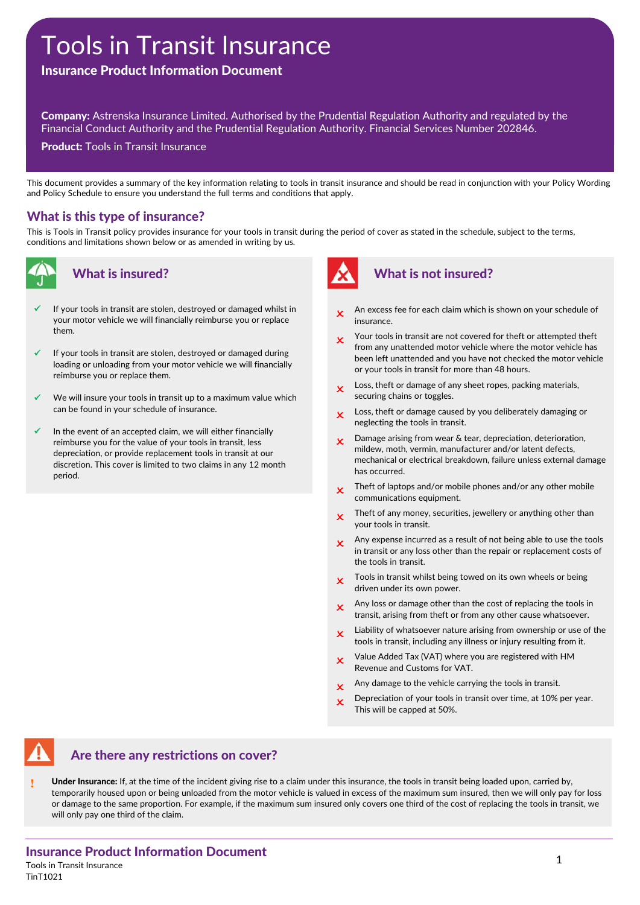# Tools in Transit Insurance

## Insurance Product Information Document

Company: Astrenska Insurance Limited. Authorised by the Prudential Regulation Authority and regulated by the Financial Conduct Authority and the Prudential Regulation Authority. Financial Services Number 202846.

**Product: Tools in Transit Insurance** 

This document provides a summary of the key information relating to tools in transit insurance and should be read in conjunction with your Policy Wording and Policy Schedule to ensure you understand the full terms and conditions that apply.

#### What is this type of insurance?

This is Tools in Transit policy provides insurance for your tools in transit during the period of cover as stated in the schedule, subject to the terms, conditions and limitations shown below or as amended in writing by us.



#### What is insured?

- If your tools in transit are stolen, destroyed or damaged whilst in your motor vehicle we will financially reimburse you or replace them.
- If your tools in transit are stolen, destroyed or damaged during loading or unloading from your motor vehicle we will financially reimburse you or replace them.
- We will insure your tools in transit up to a maximum value which can be found in your schedule of insurance.
- In the event of an accepted claim, we will either financially reimburse you for the value of your tools in transit, less depreciation, or provide replacement tools in transit at our discretion. This cover is limited to two claims in any 12 month period.



## What is not insured?

- An excess fee for each claim which is shown on your schedule of insurance.
- Your tools in transit are not covered for theft or attempted theft from any unattended motor vehicle where the motor vehicle has been left unattended and you have not checked the motor vehicle or your tools in transit for more than 48 hours.
- $\mathbf x$  Loss, theft or damage of any sheet ropes, packing materials, securing chains or toggles.
- $\bullet$  Loss, theft or damage caused by you deliberately damaging or neglecting the tools in transit.
- **x** Damage arising from wear & tear, depreciation, deterioration, mildew, moth, vermin, manufacturer and/or latent defects, mechanical or electrical breakdown, failure unless external damage has occurred.
- $\mathbf x$  Theft of laptops and/or mobile phones and/or any other mobile communications equipment.
- $\cdot$  Theft of any money, securities, jewellery or anything other than your tools in transit.
- $\mathbf x$  Any expense incurred as a result of not being able to use the tools in transit or any loss other than the repair or replacement costs of the tools in transit.
- $\cdot$  Tools in transit whilst being towed on its own wheels or being driven under its own power.
- $\mathbf x$  Any loss or damage other than the cost of replacing the tools in transit, arising from theft or from any other cause whatsoever.
- $\mathbf x$  Liability of whatsoever nature arising from ownership or use of the tools in transit, including any illness or injury resulting from it.
- $\boldsymbol{\chi}$  Value Added Tax (VAT) where you are registered with HM Revenue and Customs for VAT.
- $\mathbf x$  Any damage to the vehicle carrying the tools in transit.
- $\boldsymbol{\chi}$  Depreciation of your tools in transit over time, at 10% per year. This will be capped at 50%.



#### Are there any restrictions on cover?

Under Insurance: If, at the time of the incident giving rise to a claim under this insurance, the tools in transit being loaded upon, carried by, temporarily housed upon or being unloaded from the motor vehicle is valued in excess of the maximum sum insured, then we will only pay for loss or damage to the same proportion. For example, if the maximum sum insured only covers one third of the cost of replacing the tools in transit, we will only pay one third of the claim.